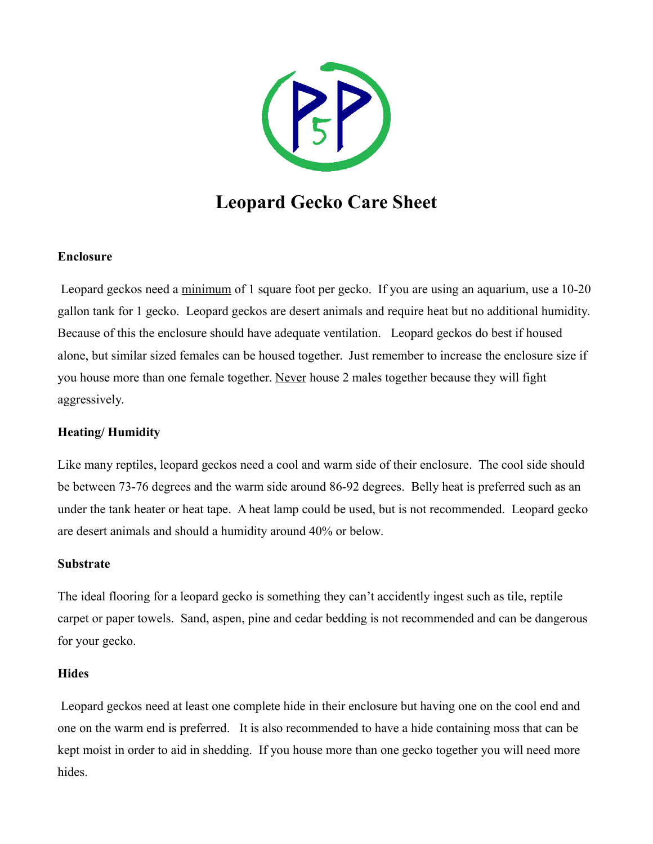

# **Leopard Gecko Care Sheet**

## **Enclosure**

 Leopard geckos need a minimum of 1 square foot per gecko. If you are using an aquarium, use a 10-20 gallon tank for 1 gecko. Leopard geckos are desert animals and require heat but no additional humidity. Because of this the enclosure should have adequate ventilation. Leopard geckos do best if housed alone, but similar sized females can be housed together. Just remember to increase the enclosure size if you house more than one female together. Never house 2 males together because they will fight aggressively.

# **Heating/ Humidity**

Like many reptiles, leopard geckos need a cool and warm side of their enclosure. The cool side should be between 73-76 degrees and the warm side around 86-92 degrees. Belly heat is preferred such as an under the tank heater or heat tape. A heat lamp could be used, but is not recommended. Leopard gecko are desert animals and should a humidity around 40% or below.

## **Substrate**

The ideal flooring for a leopard gecko is something they can't accidently ingest such as tile, reptile carpet or paper towels. Sand, aspen, pine and cedar bedding is not recommended and can be dangerous for your gecko.

## **Hides**

 Leopard geckos need at least one complete hide in their enclosure but having one on the cool end and one on the warm end is preferred. It is also recommended to have a hide containing moss that can be kept moist in order to aid in shedding. If you house more than one gecko together you will need more hides.